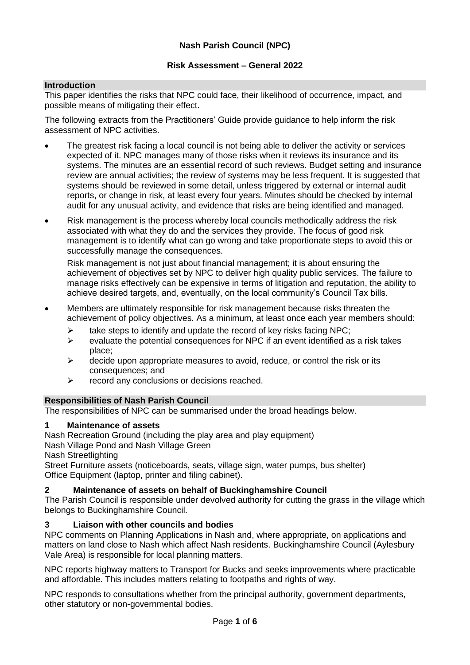### **Risk Assessment – General 2022**

## **Introduction**

This paper identifies the risks that NPC could face, their likelihood of occurrence, impact, and possible means of mitigating their effect.

The following extracts from the Practitioners' Guide provide guidance to help inform the risk assessment of NPC activities.

- The greatest risk facing a local council is not being able to deliver the activity or services expected of it. NPC manages many of those risks when it reviews its insurance and its systems. The minutes are an essential record of such reviews. Budget setting and insurance review are annual activities; the review of systems may be less frequent. It is suggested that systems should be reviewed in some detail, unless triggered by external or internal audit reports, or change in risk, at least every four years. Minutes should be checked by internal audit for any unusual activity, and evidence that risks are being identified and managed.
- Risk management is the process whereby local councils methodically address the risk associated with what they do and the services they provide. The focus of good risk management is to identify what can go wrong and take proportionate steps to avoid this or successfully manage the consequences.

Risk management is not just about financial management; it is about ensuring the achievement of objectives set by NPC to deliver high quality public services. The failure to manage risks effectively can be expensive in terms of litigation and reputation, the ability to achieve desired targets, and, eventually, on the local community's Council Tax bills.

- Members are ultimately responsible for risk management because risks threaten the achievement of policy objectives. As a minimum, at least once each year members should:
	- $\triangleright$  take steps to identify and update the record of key risks facing NPC;
	- $\triangleright$  evaluate the potential consequences for NPC if an event identified as a risk takes place;
	- $\triangleright$  decide upon appropriate measures to avoid, reduce, or control the risk or its consequences; and
	- ➢ record any conclusions or decisions reached.

### **Responsibilities of Nash Parish Council**

The responsibilities of NPC can be summarised under the broad headings below.

### **1 Maintenance of assets**

Nash Recreation Ground (including the play area and play equipment)

Nash Village Pond and Nash Village Green

Nash Streetlighting

Street Furniture assets (noticeboards, seats, village sign, water pumps, bus shelter) Office Equipment (laptop, printer and filing cabinet).

### **2 Maintenance of assets on behalf of Buckinghamshire Council**

The Parish Council is responsible under devolved authority for cutting the grass in the village which belongs to Buckinghamshire Council.

### **3 Liaison with other councils and bodies**

NPC comments on Planning Applications in Nash and, where appropriate, on applications and matters on land close to Nash which affect Nash residents. Buckinghamshire Council (Aylesbury Vale Area) is responsible for local planning matters.

NPC reports highway matters to Transport for Bucks and seeks improvements where practicable and affordable. This includes matters relating to footpaths and rights of way.

NPC responds to consultations whether from the principal authority, government departments, other statutory or non-governmental bodies.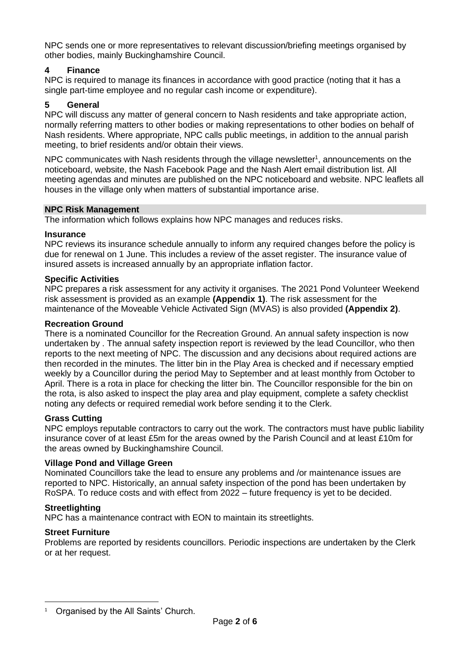NPC sends one or more representatives to relevant discussion/briefing meetings organised by other bodies, mainly Buckinghamshire Council.

# **4 Finance**

NPC is required to manage its finances in accordance with good practice (noting that it has a single part-time employee and no regular cash income or expenditure).

# **5 General**

NPC will discuss any matter of general concern to Nash residents and take appropriate action, normally referring matters to other bodies or making representations to other bodies on behalf of Nash residents. Where appropriate, NPC calls public meetings, in addition to the annual parish meeting, to brief residents and/or obtain their views.

NPC communicates with Nash residents through the village newsletter<sup>1</sup>, announcements on the noticeboard, website, the Nash Facebook Page and the Nash Alert email distribution list. All meeting agendas and minutes are published on the NPC noticeboard and website. NPC leaflets all houses in the village only when matters of substantial importance arise.

### **NPC Risk Management**

The information which follows explains how NPC manages and reduces risks.

### **Insurance**

NPC reviews its insurance schedule annually to inform any required changes before the policy is due for renewal on 1 June. This includes a review of the asset register. The insurance value of insured assets is increased annually by an appropriate inflation factor.

## **Specific Activities**

NPC prepares a risk assessment for any activity it organises. The 2021 Pond Volunteer Weekend risk assessment is provided as an example **(Appendix 1)**. The risk assessment for the maintenance of the Moveable Vehicle Activated Sign (MVAS) is also provided **(Appendix 2)**.

### **Recreation Ground**

There is a nominated Councillor for the Recreation Ground. An annual safety inspection is now undertaken by . The annual safety inspection report is reviewed by the lead Councillor, who then reports to the next meeting of NPC. The discussion and any decisions about required actions are then recorded in the minutes. The litter bin in the Play Area is checked and if necessary emptied weekly by a Councillor during the period May to September and at least monthly from October to April. There is a rota in place for checking the litter bin. The Councillor responsible for the bin on the rota, is also asked to inspect the play area and play equipment, complete a safety checklist noting any defects or required remedial work before sending it to the Clerk.

### **Grass Cutting**

NPC employs reputable contractors to carry out the work. The contractors must have public liability insurance cover of at least £5m for the areas owned by the Parish Council and at least £10m for the areas owned by Buckinghamshire Council.

### **Village Pond and Village Green**

Nominated Councillors take the lead to ensure any problems and /or maintenance issues are reported to NPC. Historically, an annual safety inspection of the pond has been undertaken by RoSPA. To reduce costs and with effect from 2022 – future frequency is yet to be decided.

### **Streetlighting**

NPC has a maintenance contract with EON to maintain its streetlights.

### **Street Furniture**

Problems are reported by residents councillors. Periodic inspections are undertaken by the Clerk or at her request.

<sup>&</sup>lt;sup>1</sup> Organised by the All Saints' Church.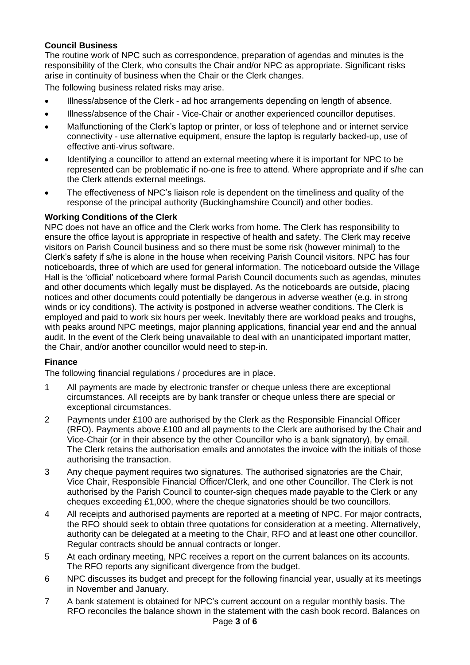# **Council Business**

The routine work of NPC such as correspondence, preparation of agendas and minutes is the responsibility of the Clerk, who consults the Chair and/or NPC as appropriate. Significant risks arise in continuity of business when the Chair or the Clerk changes.

The following business related risks may arise.

- Illness/absence of the Clerk ad hoc arrangements depending on length of absence.
- Illness/absence of the Chair Vice-Chair or another experienced councillor deputises.
- Malfunctioning of the Clerk's laptop or printer, or loss of telephone and or internet service connectivity - use alternative equipment, ensure the laptop is regularly backed-up, use of effective anti-virus software.
- Identifying a councillor to attend an external meeting where it is important for NPC to be represented can be problematic if no-one is free to attend. Where appropriate and if s/he can the Clerk attends external meetings.
- The effectiveness of NPC's liaison role is dependent on the timeliness and quality of the response of the principal authority (Buckinghamshire Council) and other bodies.

### **Working Conditions of the Clerk**

NPC does not have an office and the Clerk works from home. The Clerk has responsibility to ensure the office layout is appropriate in respective of health and safety. The Clerk may receive visitors on Parish Council business and so there must be some risk (however minimal) to the Clerk's safety if s/he is alone in the house when receiving Parish Council visitors. NPC has four noticeboards, three of which are used for general information. The noticeboard outside the Village Hall is the 'official' noticeboard where formal Parish Council documents such as agendas, minutes and other documents which legally must be displayed. As the noticeboards are outside, placing notices and other documents could potentially be dangerous in adverse weather (e.g. in strong winds or icy conditions). The activity is postponed in adverse weather conditions. The Clerk is employed and paid to work six hours per week. Inevitably there are workload peaks and troughs, with peaks around NPC meetings, major planning applications, financial year end and the annual audit. In the event of the Clerk being unavailable to deal with an unanticipated important matter, the Chair, and/or another councillor would need to step-in.

### **Finance**

The following financial regulations / procedures are in place.

- 1 All payments are made by electronic transfer or cheque unless there are exceptional circumstances. All receipts are by bank transfer or cheque unless there are special or exceptional circumstances.
- 2 Payments under £100 are authorised by the Clerk as the Responsible Financial Officer (RFO). Payments above £100 and all payments to the Clerk are authorised by the Chair and Vice-Chair (or in their absence by the other Councillor who is a bank signatory), by email. The Clerk retains the authorisation emails and annotates the invoice with the initials of those authorising the transaction.
- 3 Any cheque payment requires two signatures. The authorised signatories are the Chair, Vice Chair, Responsible Financial Officer/Clerk, and one other Councillor. The Clerk is not authorised by the Parish Council to counter-sign cheques made payable to the Clerk or any cheques exceeding £1,000, where the cheque signatories should be two councillors.
- 4 All receipts and authorised payments are reported at a meeting of NPC. For major contracts, the RFO should seek to obtain three quotations for consideration at a meeting. Alternatively, authority can be delegated at a meeting to the Chair, RFO and at least one other councillor. Regular contracts should be annual contracts or longer.
- 5 At each ordinary meeting, NPC receives a report on the current balances on its accounts. The RFO reports any significant divergence from the budget.
- 6 NPC discusses its budget and precept for the following financial year, usually at its meetings in November and January.
- 7 A bank statement is obtained for NPC's current account on a regular monthly basis. The RFO reconciles the balance shown in the statement with the cash book record. Balances on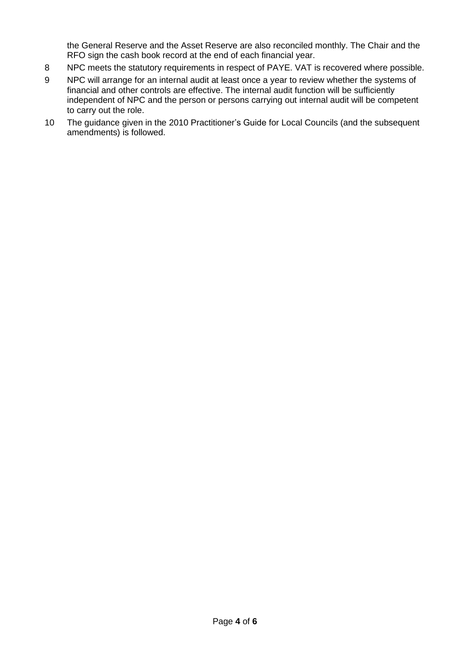the General Reserve and the Asset Reserve are also reconciled monthly. The Chair and the RFO sign the cash book record at the end of each financial year.

- 8 NPC meets the statutory requirements in respect of PAYE. VAT is recovered where possible.
- 9 NPC will arrange for an internal audit at least once a year to review whether the systems of financial and other controls are effective. The internal audit function will be sufficiently independent of NPC and the person or persons carrying out internal audit will be competent to carry out the role.
- 10 The guidance given in the 2010 Practitioner's Guide for Local Councils (and the subsequent amendments) is followed.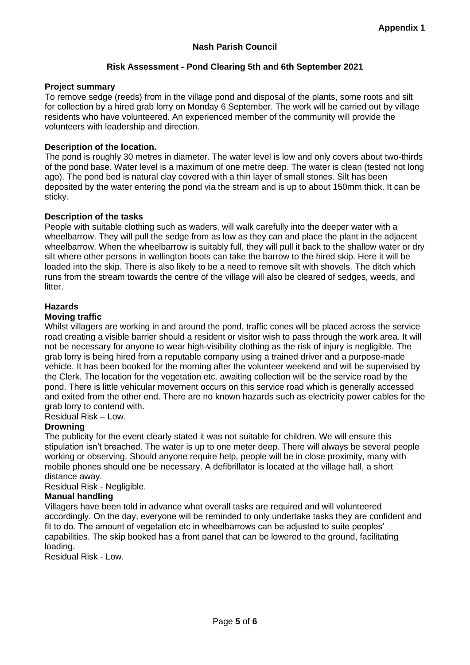# **Nash Parish Council**

## **Risk Assessment - Pond Clearing 5th and 6th September 2021**

#### **Project summary**

To remove sedge (reeds) from in the village pond and disposal of the plants, some roots and silt for collection by a hired grab lorry on Monday 6 September. The work will be carried out by village residents who have volunteered. An experienced member of the community will provide the volunteers with leadership and direction.

#### **Description of the location.**

The pond is roughly 30 metres in diameter. The water level is low and only covers about two-thirds of the pond base. Water level is a maximum of one metre deep. The water is clean (tested not long ago). The pond bed is natural clay covered with a thin layer of small stones. Silt has been deposited by the water entering the pond via the stream and is up to about 150mm thick. It can be sticky.

#### **Description of the tasks**

People with suitable clothing such as waders, will walk carefully into the deeper water with a wheelbarrow. They will pull the sedge from as low as they can and place the plant in the adjacent wheelbarrow. When the wheelbarrow is suitably full, they will pull it back to the shallow water or dry silt where other persons in wellington boots can take the barrow to the hired skip. Here it will be loaded into the skip. There is also likely to be a need to remove silt with shovels. The ditch which runs from the stream towards the centre of the village will also be cleared of sedges, weeds, and litter.

#### **Hazards**

#### **Moving traffic**

Whilst villagers are working in and around the pond, traffic cones will be placed across the service road creating a visible barrier should a resident or visitor wish to pass through the work area. It will not be necessary for anyone to wear high-visibility clothing as the risk of injury is negligible. The grab lorry is being hired from a reputable company using a trained driver and a purpose-made vehicle. It has been booked for the morning after the volunteer weekend and will be supervised by the Clerk. The location for the vegetation etc. awaiting collection will be the service road by the pond. There is little vehicular movement occurs on this service road which is generally accessed and exited from the other end. There are no known hazards such as electricity power cables for the grab lorry to contend with.

Residual Risk – Low.

### **Drowning**

The publicity for the event clearly stated it was not suitable for children. We will ensure this stipulation isn't breached. The water is up to one meter deep. There will always be several people working or observing. Should anyone require help, people will be in close proximity, many with mobile phones should one be necessary. A defibrillator is located at the village hall, a short distance away.

Residual Risk - Negligible.

### **Manual handling**

Villagers have been told in advance what overall tasks are required and will volunteered accordingly. On the day, everyone will be reminded to only undertake tasks they are confident and fit to do. The amount of vegetation etc in wheelbarrows can be adjusted to suite peoples' capabilities. The skip booked has a front panel that can be lowered to the ground, facilitating loading.

Residual Risk - Low.